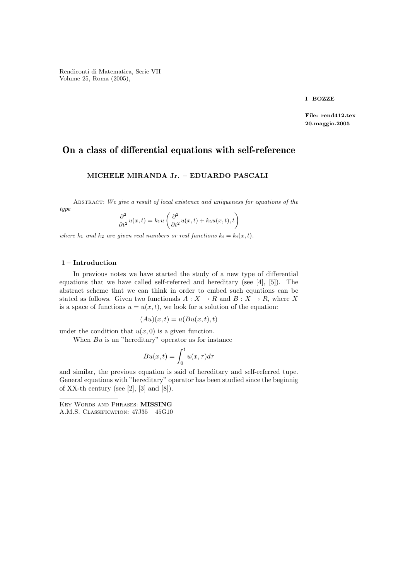Rendiconti di Matematica, Serie VII Volume 25, Roma (2005),

I BOZZE

File: rend412.tex 20.maggio.2005

# On a class of differential equations with self-reference

### MICHELE MIRANDA Jr. – EDUARDO PASCALI

ABSTRACT: We give a result of local existence and uniqueness for equations of the

$$
\frac{\partial^2}{\partial t^2}u(x,t) = k_1 u \left( \frac{\partial^2}{\partial t^2}u(x,t) + k_2 u(x,t),t \right)
$$

where  $k_1$  and  $k_2$  are given real numbers or real functions  $k_i = k_i(x, t)$ .

#### 1 – Introduction

type

In previous notes we have started the study of a new type of differential equations that we have called self-referred and hereditary (see [4], [5]). The abstract scheme that we can think in order to embed such equations can be stated as follows. Given two functionals  $A: X \to R$  and  $B: X \to R$ , where X is a space of functions  $u = u(x, t)$ , we look for a solution of the equation:

$$
(Au)(x,t) = u(Bu(x,t),t)
$$

under the condition that  $u(x, 0)$  is a given function.

When  $Bu$  is an "hereditary" operator as for instance

$$
Bu(x,t) = \int_0^t u(x,\tau)d\tau
$$

and similar, the previous equation is said of hereditary and self-referred tupe. General equations with "hereditary" operator has been studied since the beginnig of XX-th century (see [2], [3] and [8]).

Key Words and Phrases: MISSING A.M.S. Classification: 47J35 – 45G10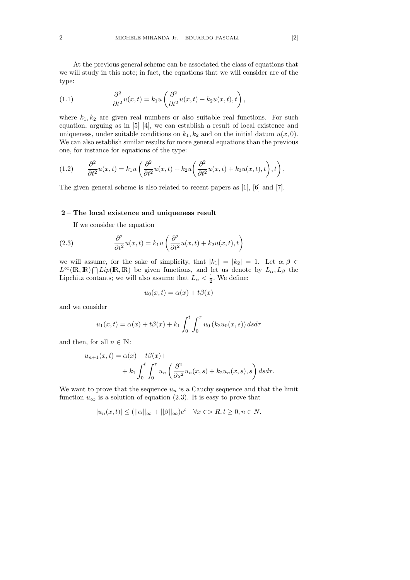At the previous general scheme can be associated the class of equations that we will study in this note; in fact, the equations that we will consider are of the type:

(1.1) 
$$
\frac{\partial^2}{\partial t^2}u(x,t) = k_1 u \left(\frac{\partial^2}{\partial t^2}u(x,t) + k_2 u(x,t),t\right),
$$

where  $k_1, k_2$  are given real numbers or also suitable real functions. For such equation, arguing as in [5] [4], we can establish a result of local existence and uniqueness, under suitable conditions on  $k_1, k_2$  and on the initial datum  $u(x, 0)$ . We can also establish similar results for more general equations than the previous one, for instance for equations of the type:

(1.2) 
$$
\frac{\partial^2}{\partial t^2}u(x,t) = k_1 u \left( \frac{\partial^2}{\partial t^2}u(x,t) + k_2 u \left( \frac{\partial^2}{\partial t^2}u(x,t) + k_3 u(x,t),t \right),t \right),
$$

The given general scheme is also related to recent papers as [1], [6] and [7].

#### 2 – The local existence and uniqueness result

If we consider the equation

(2.3) 
$$
\frac{\partial^2}{\partial t^2}u(x,t) = k_1 u \left(\frac{\partial^2}{\partial t^2}u(x,t) + k_2 u(x,t),t\right)
$$

we will assume, for the sake of simplicity, that  $|k_1| = |k_2| = 1$ . Let  $\alpha, \beta \in$  $L^{\infty}(\mathbb{R},\mathbb{R}) \bigcap Lip(\mathbb{R},\mathbb{R})$  be given functions, and let us denote by  $L_{\alpha},L_{\beta}$  the Lipchitz contants; we will also assume that  $L_{\alpha} < \frac{1}{2}$ . We define:

$$
u_0(x,t) = \alpha(x) + t\beta(x)
$$

and we consider

$$
u_1(x,t) = \alpha(x) + t\beta(x) + k_1 \int_0^t \int_0^{\tau} u_0(k_2 u_0(x,s)) ds d\tau
$$

and then, for all  $n \in \mathbb{N}$ :

$$
u_{n+1}(x,t) = \alpha(x) + t\beta(x) +
$$
  
+  $k_1 \int_0^t \int_0^\tau u_n \left( \frac{\partial^2}{\partial s^2} u_n(x,s) + k_2 u_n(x,s), s \right) ds d\tau.$ 

We want to prove that the sequence  $u_n$  is a Cauchy sequence and that the limit function  $u_{\infty}$  is a solution of equation (2.3). It is easy to prove that

$$
|u_n(x,t)| \le (||\alpha||_{\infty} + ||\beta||_{\infty})e^t \quad \forall x \in \ge R, t \ge 0, n \in N.
$$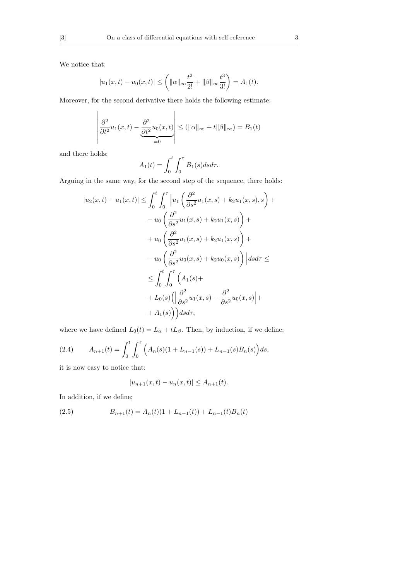We notice that:

$$
|u_1(x,t) - u_0(x,t)| \leq \left(||\alpha||_{\infty} \frac{t^2}{2!} + ||\beta||_{\infty} \frac{t^3}{3!} \right) = A_1(t).
$$

Moreover, for the second derivative there holds the following estimate:

$$
\left| \frac{\partial^2}{\partial t^2} u_1(x, t) - \frac{\partial^2}{\partial t^2} u_0(x, t) \right| \le (\|\alpha\|_{\infty} + t \|\beta\|_{\infty}) = B_1(t)
$$

and there holds:

$$
A_1(t) = \int_0^t \int_0^\tau B_1(s) ds d\tau.
$$

Arguing in the same way, for the second step of the sequence, there holds:

$$
|u_2(x,t) - u_1(x,t)| \leq \int_0^t \int_0^\tau \left| u_1 \left( \frac{\partial^2}{\partial s^2} u_1(x,s) + k_2 u_1(x,s), s \right) + \right. \\ \left. - u_0 \left( \frac{\partial^2}{\partial s^2} u_1(x,s) + k_2 u_1(x,s) \right) + \right. \\ \left. + u_0 \left( \frac{\partial^2}{\partial s^2} u_1(x,s) + k_2 u_1(x,s) \right) + \right. \\ \left. - u_0 \left( \frac{\partial^2}{\partial s^2} u_0(x,s) + k_2 u_0(x,s) \right) \right| ds d\tau \leq
$$

$$
\leq \int_0^t \int_0^\tau \left( A_1(s) + \right. \\ \left. + L_0(s) \left( \left| \frac{\partial^2}{\partial s^2} u_1(x,s) - \frac{\partial^2}{\partial s^2} u_0(x,s) \right| + \right. \\ \left. + A_1(s) \right) \right) ds d\tau,
$$

where we have defined  $L_0(t) = L_\alpha + tL_\beta$ . Then, by induction, if we define;

(2.4) 
$$
A_{n+1}(t) = \int_0^t \int_0^\tau \left( A_n(s)(1 + L_{n-1}(s)) + L_{n-1}(s)B_n(s) \right) ds,
$$

it is now easy to notice that:

$$
|u_{n+1}(x,t) - u_n(x,t)| \le A_{n+1}(t).
$$

In addition, if we define;

(2.5) 
$$
B_{n+1}(t) = A_n(t)(1 + L_{n-1}(t)) + L_{n-1}(t)B_n(t)
$$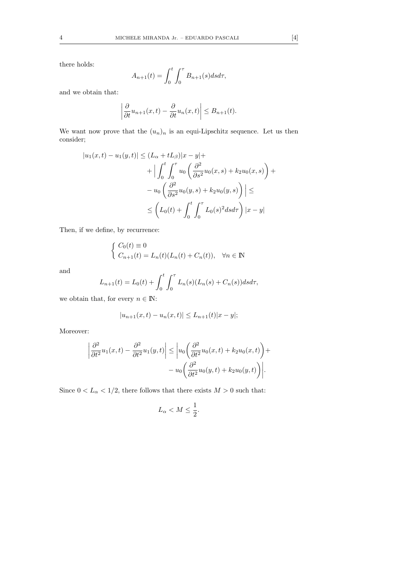there holds:

$$
A_{n+1}(t) = \int_0^t \int_0^\tau B_{n+1}(s)dsd\tau,
$$

and we obtain that:

$$
\left|\frac{\partial}{\partial t}u_{n+1}(x,t)-\frac{\partial}{\partial t}u_n(x,t)\right|\leq B_{n+1}(t).
$$

We want now prove that the  $(u_n)_n$  is an equi-Lipschitz sequence. Let us then consider;

$$
|u_1(x,t) - u_1(y,t)| \le (L_{\alpha} + tL_{\beta})|x - y| +
$$
  
+ 
$$
\left| \int_0^t \int_0^{\tau} u_0 \left( \frac{\partial^2}{\partial s^2} u_0(x,s) + k_2 u_0(x,s) \right) +
$$
  
- 
$$
u_0 \left( \frac{\partial^2}{\partial s^2} u_0(y,s) + k_2 u_0(y,s) \right) \right| \le
$$
  

$$
\le \left( L_0(t) + \int_0^t \int_0^{\tau} L_0(s)^2 ds d\tau \right) |x - y|
$$

Then, if we define, by recurrence:

$$
\begin{cases}\nC_0(t) \equiv 0 \\
C_{n+1}(t) = L_n(t)(L_n(t) + C_n(t)), \quad \forall n \in \mathbb{N}\n\end{cases}
$$

and

$$
L_{n+1}(t) = L_0(t) + \int_0^t \int_0^\tau L_n(s)(L_n(s) + C_n(s))dsd\tau,
$$

we obtain that, for every  $n \in \mathbb{N}$ :

$$
|u_{n+1}(x,t) - u_n(x,t)| \le L_{n+1}(t)|x - y|;
$$

Moreover:

$$
\left| \frac{\partial^2}{\partial t^2} u_1(x,t) - \frac{\partial^2}{\partial t^2} u_1(y,t) \right| \le \left| u_0 \left( \frac{\partial^2}{\partial t^2} u_0(x,t) + k_2 u_0(x,t) \right) + \right. - u_0 \left( \frac{\partial^2}{\partial t^2} u_0(y,t) + k_2 u_0(y,t) \right) \right|.
$$

Since  $0 < L_\alpha < 1/2,$  there follows that there exists  $M > 0$  such that:

$$
L_{\alpha} < M \leq \frac{1}{2}.
$$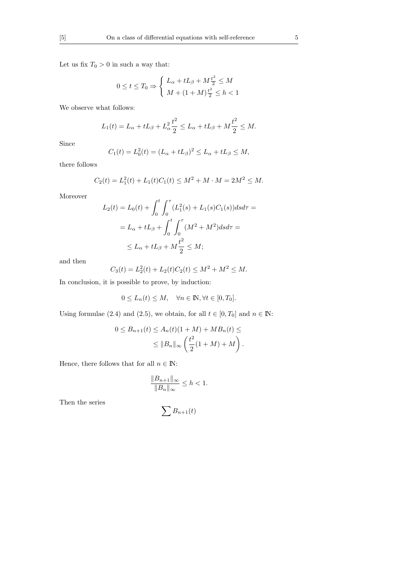Let us fix  $T_0>0$  in such a way that:

$$
0 \le t \le T_0 \Rightarrow \begin{cases} L_{\alpha} + tL_{\beta} + M\frac{t^2}{2} \le M \\ M + (1+M)\frac{t^2}{2} \le h < 1 \end{cases}
$$

We observe what follows:

$$
L_1(t) = L_{\alpha} + tL_{\beta} + L_{\alpha}^2 \frac{t^2}{2} \leq L_{\alpha} + tL_{\beta} + M\frac{t^2}{2} \leq M.
$$

Since

$$
C_1(t) = L_0^2(t) = (L_\alpha + tL_\beta)^2 \le L_\alpha + tL_\beta \le M,
$$

there follows

$$
C_2(t) = L_1^2(t) + L_1(t)C_1(t) \le M^2 + M \cdot M = 2M^2 \le M.
$$

Moreover

$$
L_2(t) = L_0(t) + \int_0^t \int_0^\tau (L_1^2(s) + L_1(s)C_1(s))dsd\tau =
$$
  
=  $L_\alpha + tL_\beta + \int_0^t \int_0^\tau (M^2 + M^2)dsd\tau =$   
 $\le L_\alpha + tL_\beta + M\frac{t^2}{2} \le M;$ 

and then

$$
C_3(t) = L_2^2(t) + L_2(t)C_2(t) \le M^2 + M^2 \le M.
$$

In conclusion, it is possible to prove, by induction:

$$
0 \le L_n(t) \le M, \quad \forall n \in \mathbb{N}, \forall t \in [0, T_0].
$$

Using formulae (2.4) and (2.5), we obtain, for all  $t\in[0,T_0]$  and  $n\in\mathbb{N}$ 

$$
0 \leq B_{n+1}(t) \leq A_n(t)(1+M) + MB_n(t) \leq
$$
  

$$
\leq ||B_n||_{\infty} \left(\frac{t^2}{2}(1+M) + M\right).
$$

Hence, there follows that for all  $n\in\mathbb{N}$ :

$$
\frac{\|B_{n+1}\|_{\infty}}{\|B_n\|_{\infty}} \le h < 1.
$$

Then the series

$$
\sum B_{n+1}(t)
$$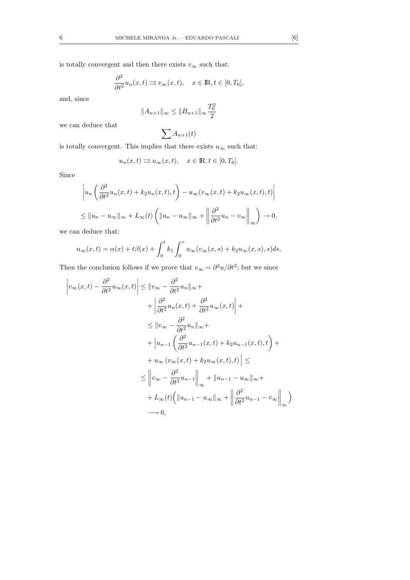is totally convergent and then there exists  $v_\infty$  such that:

$$
\frac{\partial^2}{\partial t^2}u_n(x,t) \rightrightarrows v_\infty(x,t), \quad x \in \mathbb{R}, t \in [0, T_0],
$$

and, since

$$
||A_{n+1}||_{\infty} \le ||B_{n+1}||_{\infty} \frac{T_0^2}{2}
$$

we can deduce that

$$
\sum A_{n+1}(t)
$$

is totally convergent. This implies that there exists  $u_\infty$  such that:

$$
u_n(x,t) \Rightarrow u_\infty(x,t), \quad x \in \mathbb{R}, t \in [0,T_0].
$$

Since

$$
\left| u_n \left( \frac{\partial^2}{\partial t^2} u_n(x, t) + k_2 u_n(x, t), t \right) - u_\infty(v_\infty(x, t) + k_2 u_\infty(x, t), t) \right|
$$
  

$$
\leq ||u_n - u_\infty||_\infty + L_\infty(t) \left( ||u_n - u_\infty||_\infty + \left\| \frac{\partial^2}{\partial t^2} u_n - v_\infty \right\|_\infty \right) \to 0,
$$

we can deduce that:

$$
u_{\infty}(x,t) = \alpha(x) + t\beta(x) + \int_0^t k_1 \int_0^{\tau} u_{\infty}(v_{\infty}(x,s) + k_2 u_{\infty}(x,s),s)ds.
$$

Then the conclusion follows if we prove that  $v_{\infty} = \frac{\partial^2 u}{\partial t^2}$ ; but we since

$$
\left|v_{\infty}(x,t) - \frac{\partial^2}{\partial t^2} u_{\infty}(x,t)\right| \leq ||v_{\infty} - \frac{\partial^2}{\partial t^2} u_n||_{\infty} +
$$
  
+ 
$$
\left|\frac{\partial^2}{\partial t^2} u_n(x,t) + \frac{\partial^2}{\partial t^2} u_{\infty}(x,t)\right| +
$$
  

$$
\leq ||v_{\infty} - \frac{\partial^2}{\partial t^2} u_n||_{\infty} +
$$
  
+ 
$$
||u_{n-1} \left(\frac{\partial^2}{\partial t^2} u_{n-1}(x,t) + k_2 u_{n-1}(x,t),t\right) +
$$
  
+ 
$$
u_{\infty} (v_{\infty}(x,t) + k_2 u_{\infty}(x,t),t) \leq
$$
  

$$
\leq ||v_{\infty} - \frac{\partial^2}{\partial t^2} u_{n-1}||_{\infty} + ||u_{n-1} - u_{\infty}||_{\infty} +
$$
  
+ 
$$
L_{\infty}(t) (||u_{n-1} - u_{\infty}||_{\infty} + ||\frac{\partial^2}{\partial t^2} u_{n-1} - v_{\infty}||_{\infty})
$$
  

$$
\to 0,
$$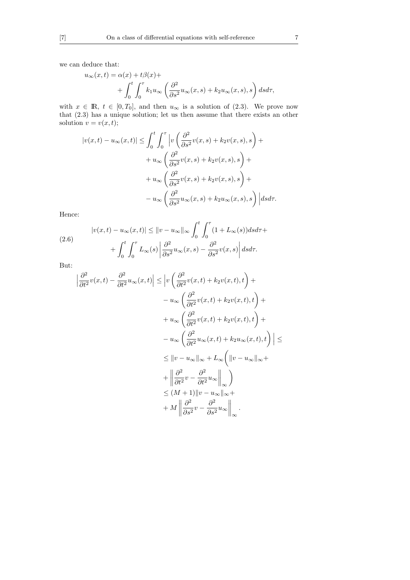we can deduce that:

$$
u_{\infty}(x,t) = \alpha(x) + t\beta(x) ++ \int_0^t \int_0^{\tau} k_1 u_{\infty} \left( \frac{\partial^2}{\partial s^2} u_{\infty}(x,s) + k_2 u_{\infty}(x,s), s \right) ds d\tau,
$$

with  $x \in \mathbb{R}, t \in [0, T_0]$ , and then  $u_{\infty}$  is a solution of (2.3). We prove now that (2.3) has a unique solution; let us then assume that there exists an other solution  $v = v(x, t);$ 

$$
|v(x,t) - u_{\infty}(x,t)| \leq \int_0^t \int_0^\tau \left| v\left(\frac{\partial^2}{\partial s^2}v(x,s) + k_2v(x,s),s\right) + \right.
$$
  

$$
+ u_{\infty}\left(\frac{\partial^2}{\partial s^2}v(x,s) + k_2v(x,s),s\right) + \left. + u_{\infty}\left(\frac{\partial^2}{\partial s^2}v(x,s) + k_2v(x,s),s\right) + \right.
$$
  

$$
- u_{\infty}\left(\frac{\partial^2}{\partial s^2}u_{\infty}(x,s) + k_2u_{\infty}(x,s),s\right) \Big| ds d\tau.
$$

Hence:

(2.6) 
$$
|v(x,t) - u_{\infty}(x,t)| \le ||v - u_{\infty}||_{\infty} \int_0^t \int_0^{\tau} (1 + L_{\infty}(s)) ds d\tau + \int_0^t \int_0^{\tau} L_{\infty}(s) \left| \frac{\partial^2}{\partial s^2} u_{\infty}(x,s) - \frac{\partial^2}{\partial s^2} v(x,s) \right| ds d\tau.
$$

But:

$$
\frac{\partial^2}{\partial t^2} v(x,t) - \frac{\partial^2}{\partial t^2} u_{\infty}(x,t) \Big| \leq \Big| v \left( \frac{\partial^2}{\partial t^2} v(x,t) + k_2 v(x,t), t \right) +
$$
  

$$
- u_{\infty} \left( \frac{\partial^2}{\partial t^2} v(x,t) + k_2 v(x,t), t \right) +
$$
  

$$
+ u_{\infty} \left( \frac{\partial^2}{\partial t^2} v(x,t) + k_2 v(x,t), t \right) +
$$
  

$$
- u_{\infty} \left( \frac{\partial^2}{\partial t^2} u_{\infty}(x,t) + k_2 u_{\infty}(x,t), t \right) \Big| \leq
$$
  

$$
\leq ||v - u_{\infty}||_{\infty} + L_{\infty} \left( ||v - u_{\infty}||_{\infty} +
$$
  

$$
+ \left\| \frac{\partial^2}{\partial t^2} v - \frac{\partial^2}{\partial t^2} u_{\infty} \right\|_{\infty} \right)
$$
  

$$
\leq (M+1) ||v - u_{\infty}||_{\infty} +
$$
  

$$
+ M \left\| \frac{\partial^2}{\partial s^2} v - \frac{\partial^2}{\partial s^2} u_{\infty} \right\|_{\infty}.
$$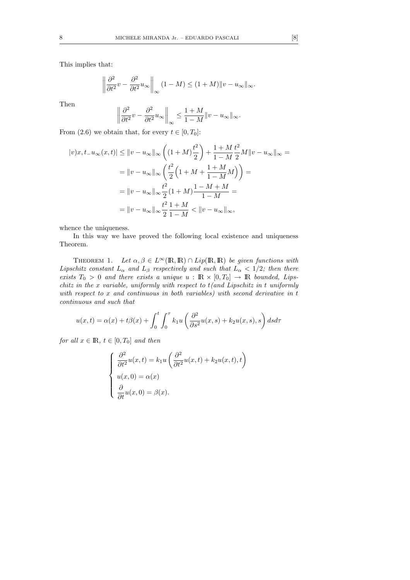This implies that:

$$
\left\|\frac{\partial^2}{\partial t^2}v - \frac{\partial^2}{\partial t^2}u_\infty\right\|_{\infty} (1 - M) \le (1 + M)\|v - u_\infty\|_{\infty}.
$$

Then

$$
\left\|\frac{\partial^2}{\partial t^2}v - \frac{\partial^2}{\partial t^2}u_{\infty}\right\|_{\infty} \le \frac{1+M}{1-M}\|v - u_{\infty}\|_{\infty}.
$$

From (2.6) we obtain that, for every  $t \in [0, T_0]$ :

$$
|v)x, t_{-}u_{\infty}(x,t)| \leq ||v - u_{\infty}||_{\infty} \left( (1+M)\frac{t^{2}}{2} \right) + \frac{1+M}{1-M}\frac{t^{2}}{2}M||v - u_{\infty}||_{\infty} =
$$
  

$$
= ||v - u_{\infty}||_{\infty} \left( \frac{t^{2}}{2} \left( 1 + M + \frac{1+M}{1-M}M \right) \right) =
$$
  

$$
= ||v - u_{\infty}||_{\infty} \frac{t^{2}}{2} (1+M)\frac{1-M+M}{1-M} =
$$
  

$$
= ||v - u_{\infty}||_{\infty} \frac{t^{2}}{2} \frac{1+M}{1-M} < ||v - u_{\infty}||_{\infty},
$$

whence the uniqueness.

In this way we have proved the following local existence and uniqueness Theorem.

THEOREM 1. Let  $\alpha, \beta \in L^{\infty}(\mathbb{R}, \mathbb{R}) \cap Lip(\mathbb{R}, \mathbb{R})$  be given functions with Lipschitz constant  $L_{\alpha}$  and  $L_{\beta}$  respectively and such that  $L_{\alpha} < 1/2$ ; then there exists  $T_0 > 0$  and there exists a unique  $u : \mathbb{R} \times [0, T_0] \rightarrow \mathbb{R}$  bounded, Lipschitz in the x variable, uniformly with respect to  $t$ (and Lipschitz in t uniformly with respect to x and continuous in both variables) with second derivative in t continuous and such that

$$
u(x,t) = \alpha(x) + t\beta(x) + \int_0^t \int_0^\tau k_1 u\left(\frac{\partial^2}{\partial s^2}u(x,s) + k_2 u(x,s), s\right) ds d\tau
$$

for all  $x \in \mathbb{R}$ ,  $t \in [0, T_0]$  and then

$$
\begin{cases}\n\frac{\partial^2}{\partial t^2}u(x,t) = k_1 u \left( \frac{\partial^2}{\partial t^2} u(x,t) + k_2 u(x,t), t \right) \\
u(x,0) = \alpha(x) \\
\frac{\partial}{\partial t}u(x,0) = \beta(x).\n\end{cases}
$$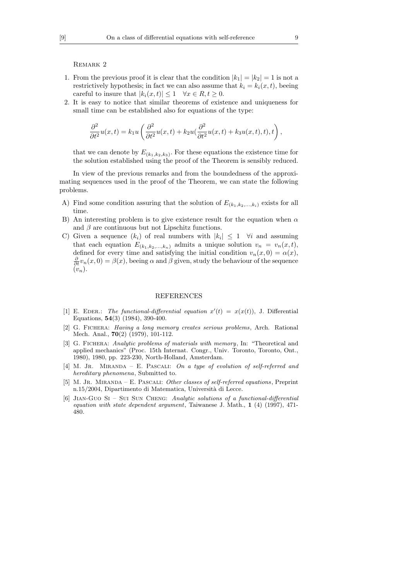Remark 2

- 1. From the previous proof it is clear that the condition  $|k_1| = |k_2| = 1$  is not a restrictively hypothesis; in fact we can also assume that  $k_i = k_i(x, t)$ , beeing careful to insure that  $|k_i(x, t)| \leq 1 \quad \forall x \in R, t \geq 0.$
- 2. It is easy to notice that similar theorems of existence and uniqueness for small time can be established also for equations of the type:

$$
\frac{\partial^2}{\partial t^2}u(x,t) = k_1 u \left( \frac{\partial^2}{\partial t^2}u(x,t) + k_2 u (\frac{\partial^2}{\partial t^2}u(x,t) + k_3 u(x,t),t) \right),
$$

that we can denote by  $E_{(k_1,k_2,k_3)}$ . For these equations the existence time for the solution established using the proof of the Theorem is sensibly reduced.

In view of the previous remarks and from the boundedness of the approximating sequences used in the proof of the Theorem, we can state the following problems.

- A) Find some condition assuring that the solution of  $E_{(k_1,k_2,...,k_i)}$  exists for all time.
- B) An interesting problem is to give existence result for the equation when  $\alpha$ and  $\beta$  are continuous but not Lipschitz functions.
- C) Given a sequence  $(k_i)$  of real numbers with  $|k_i| \leq 1$   $\forall i$  and assuming that each equation  $E_{(k_1,k_2,...,k_n)}$  admits a unique solution  $v_n = v_n(x,t)$ , defined for every time and satisfying the initial condition  $v_n(x, 0) = \alpha(x)$ ,  $\frac{\partial}{\partial t}v_n(x,0) = \beta(x)$ , beeing  $\alpha$  and  $\beta$  given, study the behaviour of the sequence  $(v_n)$ .

## REFERENCES

- [1] E. EDER.: The functional-differential equation  $x'(t) = x(x(t))$ , J. Differential Equations, 54(3) (1984), 390-400.
- [2] G. Fichera: Having a long memory creates serious problems, Arch. Rational Mech. Anal., **70**(2) (1979), 101-112.
- [3] G. Fichera: Analytic problems of materials with memory, In: "Theoretical and applied mechanics" (Proc. 15th Internat. Congr., Univ. Toronto, Toronto, Ont., 1980), 1980, pp. 223-230, North-Holland, Amsterdam.
- [4] M. JR. MIRANDA E. PASCALI: On a type of evolution of self-referred and hereditary phenomena, Submitted to.
- [5] M. JR. MIRANDA E. PASCALI: Other classes of self-referred equations, Preprint n.15/2004, Dipartimento di Matematica, Università di Lecce.
- [6] Jian-Guo Si Sui Sun Cheng: Analytic solutions of a functional-differential equation with state dependent argument, Taiwanese J. Math.,  $1$  (4) (1997), 471-480.